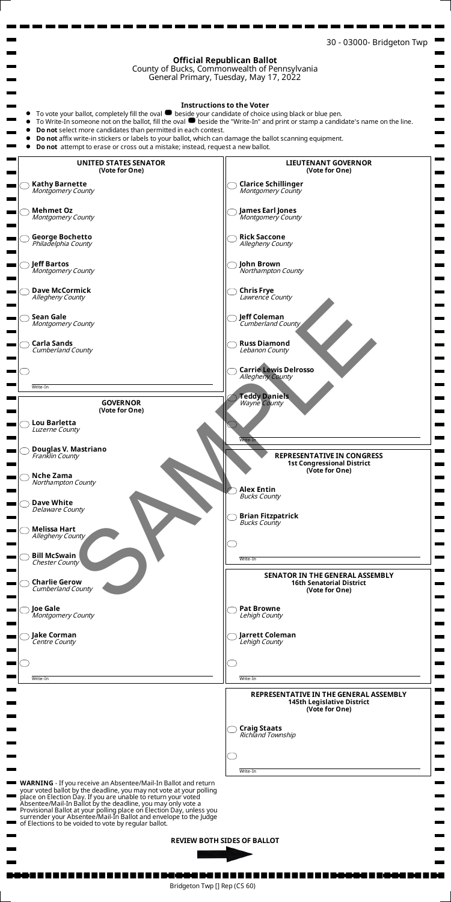

your voted ballot by the deadline, you may not vote at your polling place on Election Day. If you are unable to return your voted Absentee/Mail-In Ballot by the deadline, you may only vote a Provisional Ballot at your polling place on Election Day, unless you surrender your Absentee/Mail-In Ballot and envelope to the Judge of Elections to be voided to vote by regular ballot.

**REVIEW BOTH SIDES OF BALLOT** 



Bridgeton Twp [] Rep (CS 60)